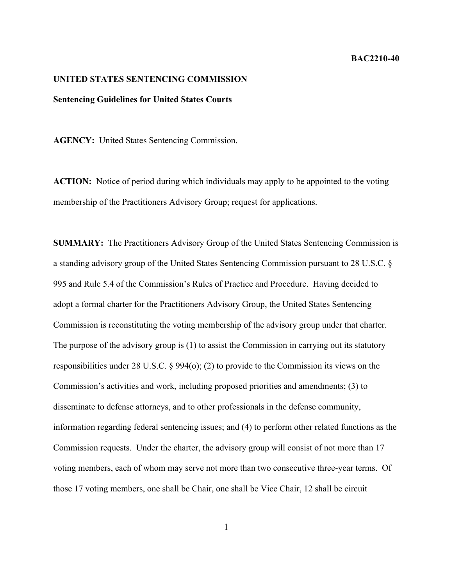## **BAC2210-40**

## **UNITED STATES SENTENCING COMMISSION**

## **Sentencing Guidelines for United States Courts**

**AGENCY:** United States Sentencing Commission.

**ACTION:** Notice of period during which individuals may apply to be appointed to the voting membership of the Practitioners Advisory Group; request for applications.

**SUMMARY:** The Practitioners Advisory Group of the United States Sentencing Commission is a standing advisory group of the United States Sentencing Commission pursuant to 28 U.S.C. § 995 and Rule 5.4 of the Commission's Rules of Practice and Procedure. Having decided to adopt a formal charter for the Practitioners Advisory Group, the United States Sentencing Commission is reconstituting the voting membership of the advisory group under that charter. The purpose of the advisory group is (1) to assist the Commission in carrying out its statutory responsibilities under 28 U.S.C. § 994(o); (2) to provide to the Commission its views on the Commission's activities and work, including proposed priorities and amendments; (3) to disseminate to defense attorneys, and to other professionals in the defense community, information regarding federal sentencing issues; and (4) to perform other related functions as the Commission requests. Under the charter, the advisory group will consist of not more than 17 voting members, each of whom may serve not more than two consecutive three-year terms. Of those 17 voting members, one shall be Chair, one shall be Vice Chair, 12 shall be circuit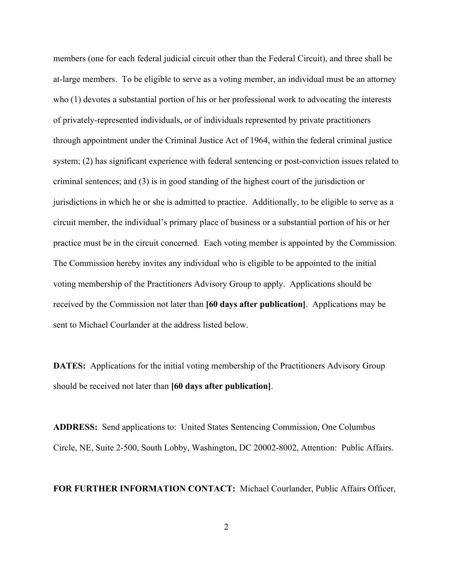members (one for each federal judicial circuit other than the Federal Circuit), and three shall be at-large members. To be eligible to serve as a voting member, an individual must be an attorney who (1) devotes a substantial portion of his or her professional work to advocating the interests of privately-represented individuals, or of individuals represented by private practitioners through appointment under the Criminal Justice Act of 1964, within the federal criminal justice system; (2) has significant experience with federal sentencing or post-conviction issues related to criminal sentences; and (3) is in good standing of the highest court of the jurisdiction or jurisdictions in which he or she is admitted to practice. Additionally, to be eligible to serve as a circuit member, the individual's primary place of business or a substantial portion of his or her practice must be in the circuit concerned. Each voting member is appointed by the Commission. The Commission hereby invites any individual who is eligible to be appointed to the initial voting membership of the Practitioners Advisory Group to apply. Applications should be received by the Commission not later than **[60 days after publication]**. Applications may be sent to Michael Courlander at the address listed below.

**DATES:** Applications for the initial voting membership of the Practitioners Advisory Group should be received not later than **[60 days after publication]**.

**ADDRESS:** Send applications to: United States Sentencing Commission, One Columbus Circle, NE, Suite 2-500, South Lobby, Washington, DC 20002-8002, Attention: Public Affairs.

**FOR FURTHER INFORMATION CONTACT:** Michael Courlander, Public Affairs Officer,